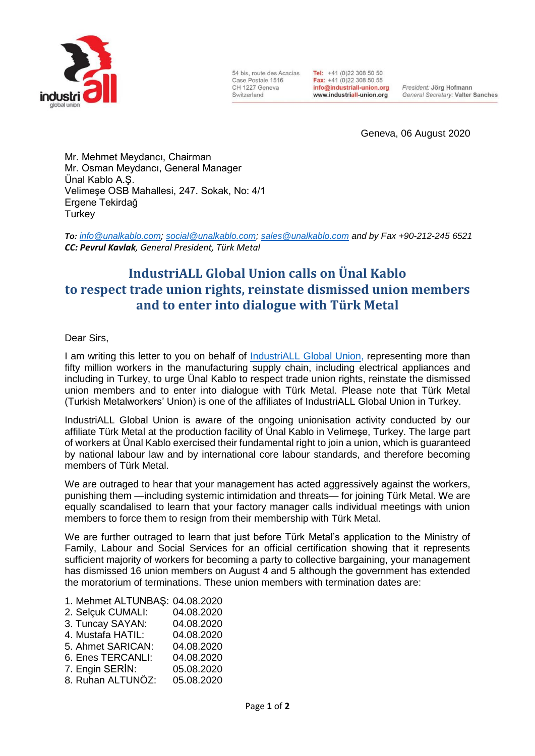

54 bis, route des Acacias Case Postale 1516 CH 1227 Geneva Switzerland

Tel: +41 (0)22 308 50 50 Fax: +41 (0)22 308 50 55 info@industriall-union.org www.industriall-union.org

President: Jörg Hofmann General Secretary: Valter Sanches

Geneva, 06 August 2020

Mr. Mehmet Meydancı, Chairman Mr. Osman Meydancı, General Manager Ünal Kablo A.Ş. Velimeşe OSB Mahallesi, 247. Sokak, No: 4/1 Ergene Tekirdağ **Turkey** 

*To: [info@unalkablo.com;](mailto:info@unalkablo.com) [social@unalkablo.com;](mailto:social@unalkablo.com) [sales@unalkablo.com](mailto:sales@unalkablo.com) and by Fax +90-212-245 6521 CC: Pevrul Kavlak, General President, Türk Metal*

## **IndustriALL Global Union calls on Ünal Kablo to respect trade union rights, reinstate dismissed union members and to enter into dialogue with Türk Metal**

## Dear Sirs,

I am writing this letter to you on behalf of [IndustriALL Global Union,](http://www.industriall-union.org/) representing more than fifty million workers in the manufacturing supply chain, including electrical appliances and including in Turkey, to urge Ünal Kablo to respect trade union rights, reinstate the dismissed union members and to enter into dialogue with Türk Metal. Please note that Türk Metal (Turkish Metalworkers' Union) is one of the affiliates of IndustriALL Global Union in Turkey.

IndustriALL Global Union is aware of the ongoing unionisation activity conducted by our affiliate Türk Metal at the production facility of Ünal Kablo in Velimeşe, Turkey. The large part of workers at Ünal Kablo exercised their fundamental right to join a union, which is guaranteed by national labour law and by international core labour standards, and therefore becoming members of Türk Metal.

We are outraged to hear that your management has acted aggressively against the workers, punishing them —including systemic intimidation and threats— for joining Türk Metal. We are equally scandalised to learn that your factory manager calls individual meetings with union members to force them to resign from their membership with Türk Metal.

We are further outraged to learn that just before Türk Metal's application to the Ministry of Family, Labour and Social Services for an official certification showing that it represents sufficient majority of workers for becoming a party to collective bargaining, your management has dismissed 16 union members on August 4 and 5 although the government has extended the moratorium of terminations. These union members with termination dates are:

| 1. Mehmet ALTUNBAŞ: 04.08.2020 |            |
|--------------------------------|------------|
| 2. Selçuk CUMALI:              | 04.08.2020 |
| 3. Tuncay SAYAN:               | 04.08.2020 |
| 4. Mustafa HATIL:              | 04.08.2020 |
| 5. Ahmet SARICAN:              | 04.08.2020 |
| 6. Enes TERCANLI:              | 04.08.2020 |
| 7. Engin SERİN:                | 05.08.2020 |
| 8. Ruhan ALTUNÖZ:              | 05.08.2020 |
|                                |            |